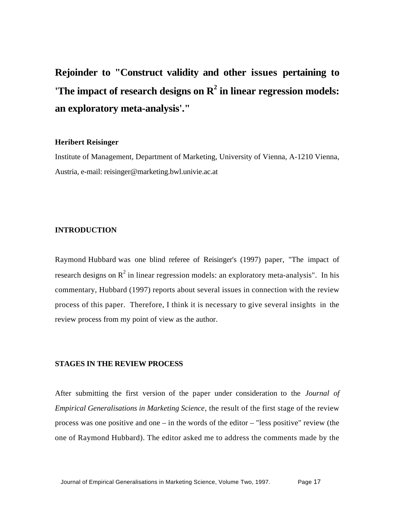**Rejoinder to "Construct validity and other issues pertaining to 'The impact of research designs on R<sup>2</sup> in linear regression models: an exploratory meta-analysis'."**

## **Heribert Reisinger**

Institute of Management, Department of Marketing, University of Vienna, A-1210 Vienna, Austria, e-mail: reisinger@marketing.bwl.univie.ac.at

# **INTRODUCTION**

Raymond Hubbard was one blind referee of Reisinger's (1997) paper, "The impact of research designs on  $R^2$  in linear regression models: an exploratory meta-analysis". In his commentary, Hubbard (1997) reports about several issues in connection with the review process of this paper. Therefore, I think it is necessary to give several insights in the review process from my point of view as the author.

# **STAGES IN THE REVIEW PROCESS**

After submitting the first version of the paper under consideration to the *Journal of Empirical Generalisations in Marketing Science*, the result of the first stage of the review process was one positive and one – in the words of the editor – "less positive" review (the one of Raymond Hubbard). The editor asked me to address the comments made by the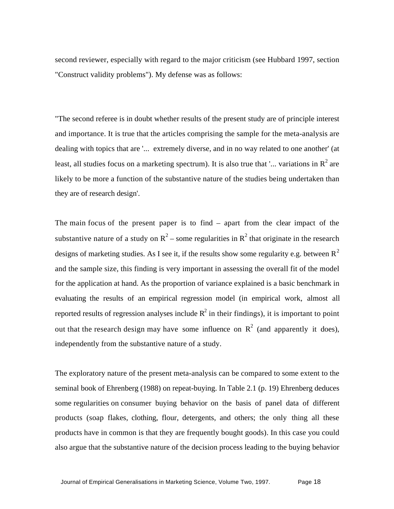second reviewer, especially with regard to the major criticism (see Hubbard 1997, section "Construct validity problems"). My defense was as follows:

"The second referee is in doubt whether results of the present study are of principle interest and importance. It is true that the articles comprising the sample for the meta-analysis are dealing with topics that are '... extremely diverse, and in no way related to one another' (at least, all studies focus on a marketing spectrum). It is also true that '... variations in  $R^2$  are likely to be more a function of the substantive nature of the studies being undertaken than they are of research design'.

The main focus of the present paper is to find – apart from the clear impact of the substantive nature of a study on  $R^2$  – some regularities in  $R^2$  that originate in the research designs of marketing studies. As I see it, if the results show some regularity e.g. between  $R^2$ and the sample size, this finding is very important in assessing the overall fit of the model for the application at hand. As the proportion of variance explained is a basic benchmark in evaluating the results of an empirical regression model (in empirical work, almost all reported results of regression analyses include  $R^2$  in their findings), it is important to point out that the research design may have some influence on  $R^2$  (and apparently it does), independently from the substantive nature of a study.

The exploratory nature of the present meta-analysis can be compared to some extent to the seminal book of Ehrenberg (1988) on repeat-buying. In Table 2.1 (p. 19) Ehrenberg deduces some regularities on consumer buying behavior on the basis of panel data of different products (soap flakes, clothing, flour, detergents, and others; the only thing all these products have in common is that they are frequently bought goods). In this case you could also argue that the substantive nature of the decision process leading to the buying behavior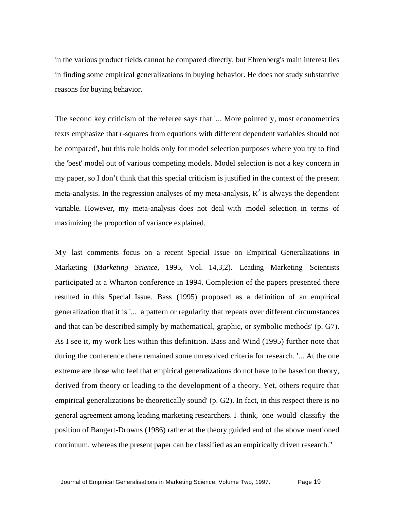in the various product fields cannot be compared directly, but Ehrenberg's main interest lies in finding some empirical generalizations in buying behavior. He does not study substantive reasons for buying behavior.

The second key criticism of the referee says that '... More pointedly, most econometrics texts emphasize that r-squares from equations with different dependent variables should not be compared', but this rule holds only for model selection purposes where you try to find the 'best' model out of various competing models. Model selection is not a key concern in my paper, so I don't think that this special criticism is justified in the context of the present meta-analysis. In the regression analyses of my meta-analysis,  $R^2$  is always the dependent variable. However, my meta-analysis does not deal with model selection in terms of maximizing the proportion of variance explained.

My last comments focus on a recent Special Issue on Empirical Generalizations in Marketing (*Marketing Science*, 1995, Vol. 14,3,2). Leading Marketing Scientists participated at a Wharton conference in 1994. Completion of the papers presented there resulted in this Special Issue. Bass (1995) proposed as a definition of an empirical generalization that it is '... a pattern or regularity that repeats over different circumstances and that can be described simply by mathematical, graphic, or symbolic methods' (p. G7). As I see it, my work lies within this definition. Bass and Wind (1995) further note that during the conference there remained some unresolved criteria for research. '... At the one extreme are those who feel that empirical generalizations do not have to be based on theory, derived from theory or leading to the development of a theory. Yet, others require that empirical generalizations be theoretically sound' (p. G2). In fact, in this respect there is no general agreement among leading marketing researchers. I think, one would classifiy the position of Bangert-Drowns (1986) rather at the theory guided end of the above mentioned continuum, whereas the present paper can be classified as an empirically driven research."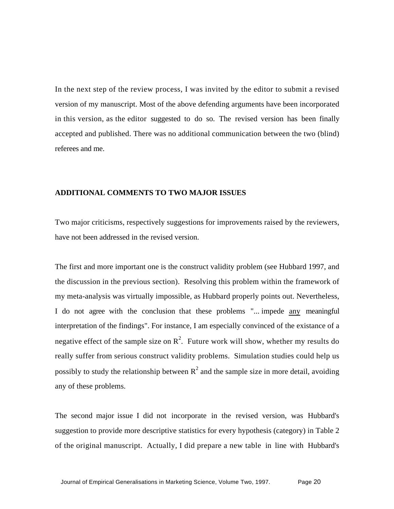In the next step of the review process, I was invited by the editor to submit a revised version of my manuscript. Most of the above defending arguments have been incorporated in this version, as the editor suggested to do so. The revised version has been finally accepted and published. There was no additional communication between the two (blind) referees and me.

# **ADDITIONAL COMMENTS TO TWO MAJOR ISSUES**

Two major criticisms, respectively suggestions for improvements raised by the reviewers, have not been addressed in the revised version.

The first and more important one is the construct validity problem (see Hubbard 1997, and the discussion in the previous section). Resolving this problem within the framework of my meta-analysis was virtually impossible, as Hubbard properly points out. Nevertheless, I do not agree with the conclusion that these problems "... impede any meaningful interpretation of the findings". For instance, I am especially convinced of the existance of a negative effect of the sample size on  $R^2$ . Future work will show, whether my results do really suffer from serious construct validity problems. Simulation studies could help us possibly to study the relationship between  $R^2$  and the sample size in more detail, avoiding any of these problems.

The second major issue I did not incorporate in the revised version, was Hubbard's suggestion to provide more descriptive statistics for every hypothesis (category) in Table 2 of the original manuscript. Actually, I did prepare a new table in line with Hubbard's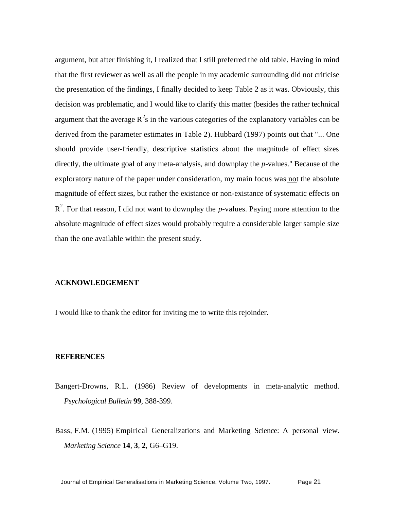argument, but after finishing it, I realized that I still preferred the old table. Having in mind that the first reviewer as well as all the people in my academic surrounding did not criticise the presentation of the findings, I finally decided to keep Table 2 as it was. Obviously, this decision was problematic, and I would like to clarify this matter (besides the rather technical argument that the average  $R^2$ s in the various categories of the explanatory variables can be derived from the parameter estimates in Table 2). Hubbard (1997) points out that "... One should provide user-friendly, descriptive statistics about the magnitude of effect sizes directly, the ultimate goal of any meta-analysis, and downplay the *p*-values." Because of the exploratory nature of the paper under consideration, my main focus was not the absolute magnitude of effect sizes, but rather the existance or non-existance of systematic effects on R<sup>2</sup>. For that reason, I did not want to downplay the *p*-values. Paying more attention to the absolute magnitude of effect sizes would probably require a considerable larger sample size than the one available within the present study.

# **ACKNOWLEDGEMENT**

I would like to thank the editor for inviting me to write this rejoinder.

#### **REFERENCES**

- Bangert-Drowns, R.L. (1986) Review of developments in meta-analytic method. *Psychological Bulletin* **99***,* 388-399.
- Bass, F.M. (1995) Empirical Generalizations and Marketing Science: A personal view. *Marketing Science* **14***,* **3***,* **2***,* G6–G19.